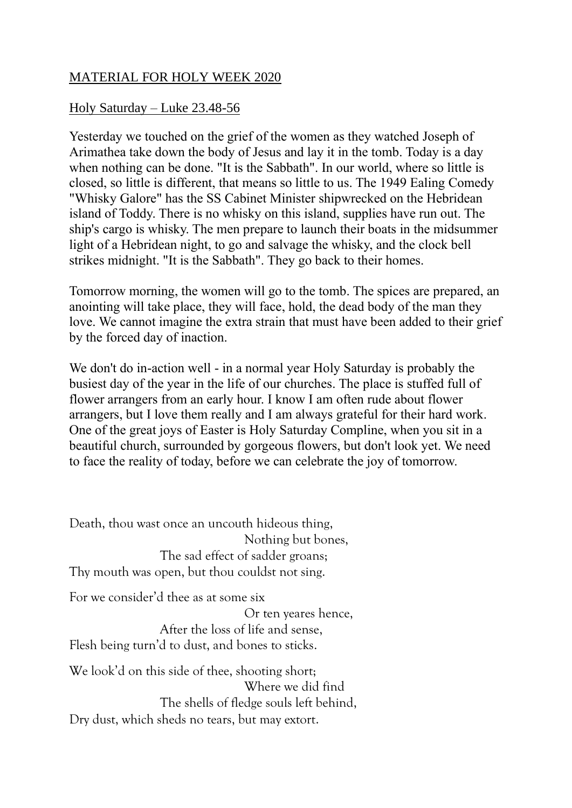## MATERIAL FOR HOLY WEEK 2020

## Holy Saturday – Luke 23.48-56

Yesterday we touched on the grief of the women as they watched Joseph of Arimathea take down the body of Jesus and lay it in the tomb. Today is a day when nothing can be done. "It is the Sabbath". In our world, where so little is closed, so little is different, that means so little to us. The 1949 Ealing Comedy "Whisky Galore" has the SS Cabinet Minister shipwrecked on the Hebridean island of Toddy. There is no whisky on this island, supplies have run out. The ship's cargo is whisky. The men prepare to launch their boats in the midsummer light of a Hebridean night, to go and salvage the whisky, and the clock bell strikes midnight. "It is the Sabbath". They go back to their homes.

Tomorrow morning, the women will go to the tomb. The spices are prepared, an anointing will take place, they will face, hold, the dead body of the man they love. We cannot imagine the extra strain that must have been added to their grief by the forced day of inaction.

We don't do in-action well - in a normal year Holy Saturday is probably the busiest day of the year in the life of our churches. The place is stuffed full of flower arrangers from an early hour. I know I am often rude about flower arrangers, but I love them really and I am always grateful for their hard work. One of the great joys of Easter is Holy Saturday Compline, when you sit in a beautiful church, surrounded by gorgeous flowers, but don't look yet. We need to face the reality of today, before we can celebrate the joy of tomorrow.

Death, thou wast once an uncouth hideous thing, Nothing but bones, The sad effect of sadder groans; Thy mouth was open, but thou couldst not sing. For we consider'd thee as at some six Or ten yeares hence, After the loss of life and sense, Flesh being turn'd to dust, and bones to sticks. We look'd on this side of thee, shooting short;

 Where we did find The shells of fledge souls left behind, Dry dust, which sheds no tears, but may extort.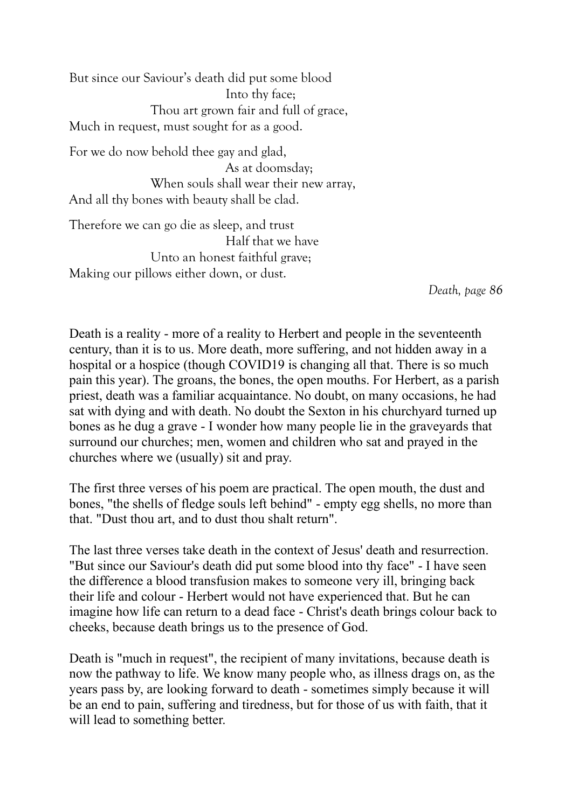But since our Saviour's death did put some blood Into thy face; Thou art grown fair and full of grace, Much in request, must sought for as a good.

For we do now behold thee gay and glad, As at doomsday; When souls shall wear their new array, And all thy bones with beauty shall be clad.

Therefore we can go die as sleep, and trust Half that we have Unto an honest faithful grave; Making our pillows either down, or dust.

*Death, page 86*

Death is a reality - more of a reality to Herbert and people in the seventeenth century, than it is to us. More death, more suffering, and not hidden away in a hospital or a hospice (though COVID19 is changing all that. There is so much pain this year). The groans, the bones, the open mouths. For Herbert, as a parish priest, death was a familiar acquaintance. No doubt, on many occasions, he had sat with dying and with death. No doubt the Sexton in his churchyard turned up bones as he dug a grave - I wonder how many people lie in the graveyards that surround our churches; men, women and children who sat and prayed in the churches where we (usually) sit and pray.

The first three verses of his poem are practical. The open mouth, the dust and bones, "the shells of fledge souls left behind" - empty egg shells, no more than that. "Dust thou art, and to dust thou shalt return".

The last three verses take death in the context of Jesus' death and resurrection. "But since our Saviour's death did put some blood into thy face" - I have seen the difference a blood transfusion makes to someone very ill, bringing back their life and colour - Herbert would not have experienced that. But he can imagine how life can return to a dead face - Christ's death brings colour back to cheeks, because death brings us to the presence of God.

Death is "much in request", the recipient of many invitations, because death is now the pathway to life. We know many people who, as illness drags on, as the years pass by, are looking forward to death - sometimes simply because it will be an end to pain, suffering and tiredness, but for those of us with faith, that it will lead to something better.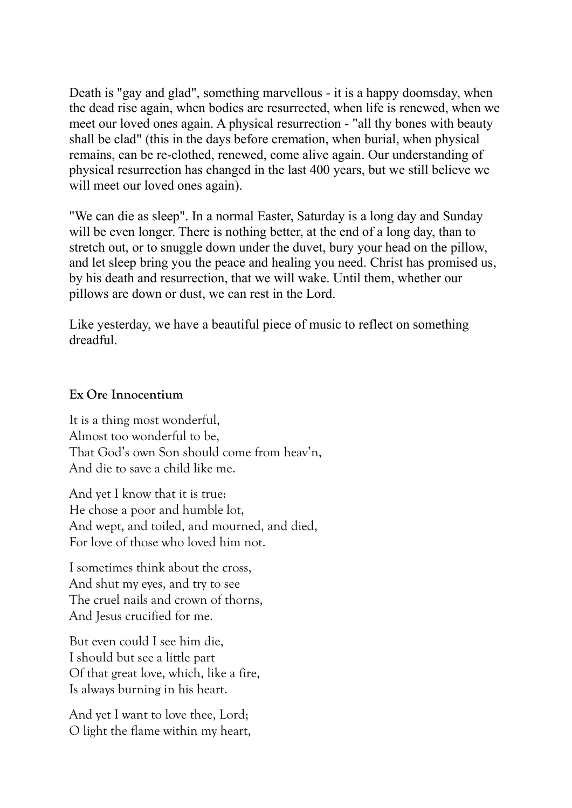Death is "gay and glad", something marvellous - it is a happy doomsday, when the dead rise again, when bodies are resurrected, when life is renewed, when we meet our loved ones again. A physical resurrection - "all thy bones with beauty shall be clad" (this in the days before cremation, when burial, when physical remains, can be re-clothed, renewed, come alive again. Our understanding of physical resurrection has changed in the last 400 years, but we still believe we will meet our loved ones again).

"We can die as sleep". In a normal Easter, Saturday is a long day and Sunday will be even longer. There is nothing better, at the end of a long day, than to stretch out, or to snuggle down under the duvet, bury your head on the pillow, and let sleep bring you the peace and healing you need. Christ has promised us, by his death and resurrection, that we will wake. Until them, whether our pillows are down or dust, we can rest in the Lord.

Like yesterday, we have a beautiful piece of music to reflect on something dreadful.

## **Ex Ore Innocentium**

It is a thing most wonderful, Almost too wonderful to be, That God's own Son should come from heav'n, And die to save a child like me.

And yet I know that it is true: He chose a poor and humble lot, And wept, and toiled, and mourned, and died, For love of those who loved him not.

I sometimes think about the cross, And shut my eyes, and try to see The cruel nails and crown of thorns, And Jesus crucified for me.

But even could I see him die, I should but see a little part Of that great love, which, like a fire, Is always burning in his heart.

And yet I want to love thee, Lord; O light the flame within my heart,